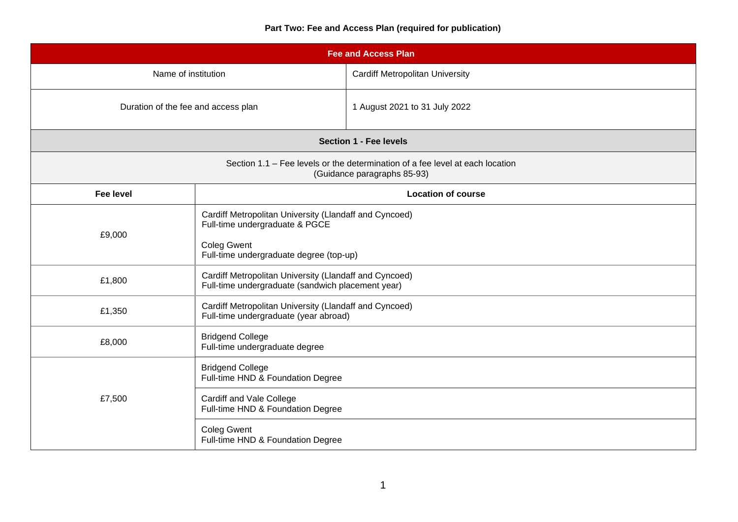# **Part Two: Fee and Access Plan (required for publication)**

| <b>Fee and Access Plan</b>                                                                                   |                                                                                                             |                                        |  |  |
|--------------------------------------------------------------------------------------------------------------|-------------------------------------------------------------------------------------------------------------|----------------------------------------|--|--|
| Name of institution                                                                                          |                                                                                                             | <b>Cardiff Metropolitan University</b> |  |  |
| Duration of the fee and access plan                                                                          |                                                                                                             | 1 August 2021 to 31 July 2022          |  |  |
| <b>Section 1 - Fee levels</b>                                                                                |                                                                                                             |                                        |  |  |
| Section 1.1 – Fee levels or the determination of a fee level at each location<br>(Guidance paragraphs 85-93) |                                                                                                             |                                        |  |  |
| <b>Fee level</b>                                                                                             |                                                                                                             | <b>Location of course</b>              |  |  |
| £9,000                                                                                                       | Cardiff Metropolitan University (Llandaff and Cyncoed)<br>Full-time undergraduate & PGCE                    |                                        |  |  |
|                                                                                                              | <b>Coleg Gwent</b><br>Full-time undergraduate degree (top-up)                                               |                                        |  |  |
| £1,800                                                                                                       | Cardiff Metropolitan University (Llandaff and Cyncoed)<br>Full-time undergraduate (sandwich placement year) |                                        |  |  |
| £1,350                                                                                                       | Cardiff Metropolitan University (Llandaff and Cyncoed)<br>Full-time undergraduate (year abroad)             |                                        |  |  |
| £8,000                                                                                                       | <b>Bridgend College</b><br>Full-time undergraduate degree                                                   |                                        |  |  |
| £7,500                                                                                                       | <b>Bridgend College</b><br>Full-time HND & Foundation Degree                                                |                                        |  |  |
|                                                                                                              | Cardiff and Vale College<br>Full-time HND & Foundation Degree                                               |                                        |  |  |
|                                                                                                              | <b>Coleg Gwent</b><br>Full-time HND & Foundation Degree                                                     |                                        |  |  |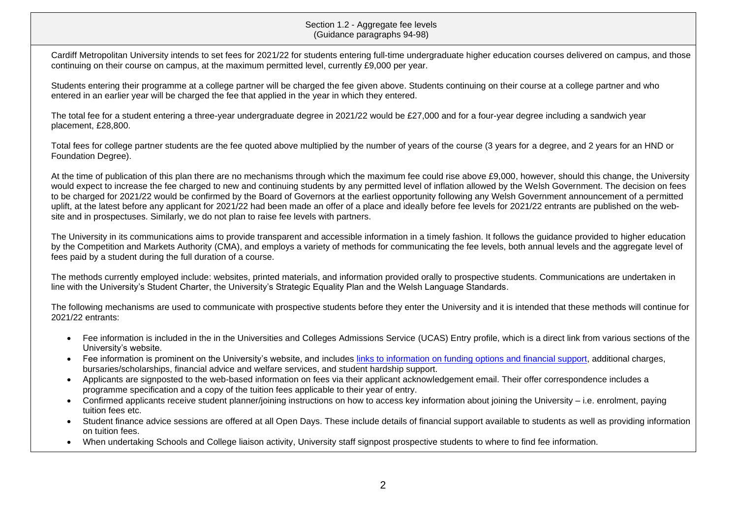Cardiff Metropolitan University intends to set fees for 2021/22 for students entering full-time undergraduate higher education courses delivered on campus, and those continuing on their course on campus, at the maximum permitted level, currently £9,000 per year.

Students entering their programme at a college partner will be charged the fee given above. Students continuing on their course at a college partner and who entered in an earlier year will be charged the fee that applied in the year in which they entered.

The total fee for a student entering a three-year undergraduate degree in 2021/22 would be £27,000 and for a four-year degree including a sandwich year placement, £28,800.

Total fees for college partner students are the fee quoted above multiplied by the number of years of the course (3 years for a degree, and 2 years for an HND or Foundation Degree).

At the time of publication of this plan there are no mechanisms through which the maximum fee could rise above £9,000, however, should this change, the University would expect to increase the fee charged to new and continuing students by any permitted level of inflation allowed by the Welsh Government. The decision on fees to be charged for 2021/22 would be confirmed by the Board of Governors at the earliest opportunity following any Welsh Government announcement of a permitted uplift, at the latest before any applicant for 2021/22 had been made an offer of a place and ideally before fee levels for 2021/22 entrants are published on the website and in prospectuses. Similarly, we do not plan to raise fee levels with partners.

The University in its communications aims to provide transparent and accessible information in a timely fashion. It follows the guidance provided to higher education by the Competition and Markets Authority (CMA), and employs a variety of methods for communicating the fee levels, both annual levels and the aggregate level of fees paid by a student during the full duration of a course.

The methods currently employed include: websites, printed materials, and information provided orally to prospective students. Communications are undertaken in line with the University's Student Charter, the University's Strategic Equality Plan and the Welsh Language Standards.

The following mechanisms are used to communicate with prospective students before they enter the University and it is intended that these methods will continue for 2021/22 entrants:

- Fee information is included in the in the Universities and Colleges Admissions Service (UCAS) Entry profile, which is a direct link from various sections of the University's website.
- Fee information is prominent on the University's website, and includes [links to information on funding](https://www.cardiffmet.ac.uk/study/finance/Pages/default.aspx) options and financial support, additional charges, bursaries/scholarships, financial advice and welfare services, and student hardship support.
- Applicants are signposted to the web-based information on fees via their applicant acknowledgement email. Their offer correspondence includes a programme specification and a copy of the tuition fees applicable to their year of entry.
- Confirmed applicants receive student planner/joining instructions on how to access key information about joining the University i.e. enrolment, paying tuition fees etc.
- Student finance advice sessions are offered at all Open Days. These include details of financial support available to students as well as providing information on tuition fees.
- When undertaking Schools and College liaison activity, University staff signpost prospective students to where to find fee information.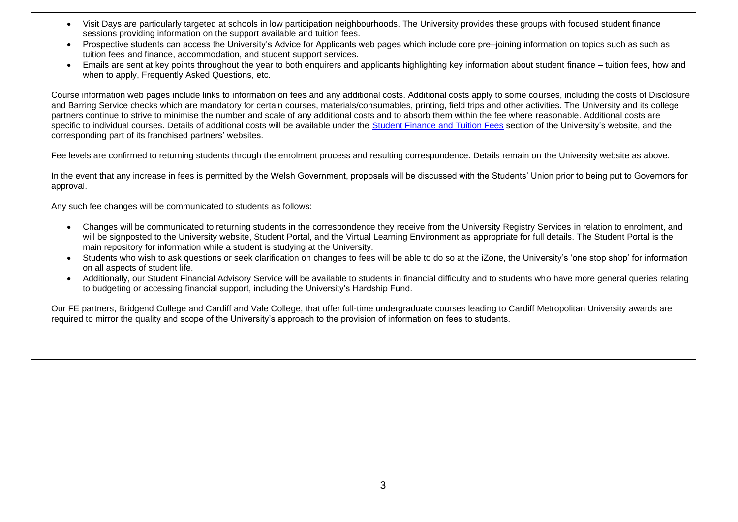- Visit Days are particularly targeted at schools in low participation neighbourhoods. The University provides these groups with focused student finance sessions providing information on the support available and tuition fees.
- Prospective students can access the University's Advice for Applicants web pages which include core pre–joining information on topics such as such as tuition fees and finance, accommodation, and student support services.
- Emails are sent at key points throughout the year to both enquirers and applicants highlighting key information about student finance tuition fees, how and when to apply, Frequently Asked Questions, etc.

Course information web pages include links to information on fees and any additional costs. Additional costs apply to some courses, including the costs of Disclosure and Barring Service checks which are mandatory for certain courses, materials/consumables, printing, field trips and other activities. The University and its college partners continue to strive to minimise the number and scale of any additional costs and to absorb them within the fee where reasonable. Additional costs are specific to individual courses. Details of additional costs will be available under the [Student Finance and Tuition Fees](https://www.cardiffmet.ac.uk/study/finance/Pages/default.aspx) section of the University's website, and the corresponding part of its franchised partners' websites.

Fee levels are confirmed to returning students through the enrolment process and resulting correspondence. Details remain on the University website as above.

In the event that any increase in fees is permitted by the Welsh Government, proposals will be discussed with the Students' Union prior to being put to Governors for approval.

Any such fee changes will be communicated to students as follows:

- Changes will be communicated to returning students in the correspondence they receive from the University Registry Services in relation to enrolment, and will be signposted to the University website. Student Portal, and the Virtual Learning Environment as appropriate for full details. The Student Portal is the main repository for information while a student is studying at the University.
- Students who wish to ask questions or seek clarification on changes to fees will be able to do so at the iZone, the University's 'one stop shop' for information on all aspects of student life.
- Additionally, our Student Financial Advisory Service will be available to students in financial difficulty and to students who have more general queries relating to budgeting or accessing financial support, including the University's Hardship Fund.

Our FE partners, Bridgend College and Cardiff and Vale College, that offer full-time undergraduate courses leading to Cardiff Metropolitan University awards are required to mirror the quality and scope of the University's approach to the provision of information on fees to students.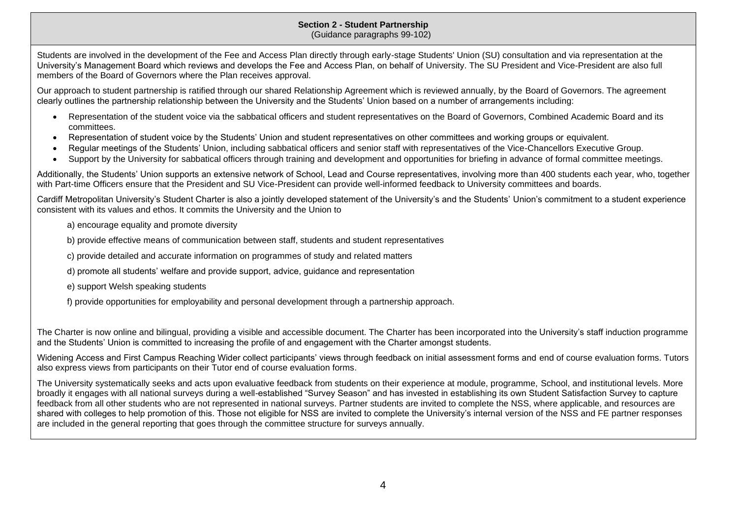#### **Section 2 - Student Partnership** (Guidance paragraphs 99-102)

Students are involved in the development of the Fee and Access Plan directly through early-stage Students' Union (SU) consultation and via representation at the University's Management Board which reviews and develops the Fee and Access Plan, on behalf of University. The SU President and Vice-President are also full members of the Board of Governors where the Plan receives approval.

Our approach to student partnership is ratified through our shared Relationship Agreement which is reviewed annually, by the Board of Governors. The agreement clearly outlines the partnership relationship between the University and the Students' Union based on a number of arrangements including:

- Representation of the student voice via the sabbatical officers and student representatives on the Board of Governors, Combined Academic Board and its committees.
- Representation of student voice by the Students' Union and student representatives on other committees and working groups or equivalent.
- Regular meetings of the Students' Union, including sabbatical officers and senior staff with representatives of the Vice-Chancellors Executive Group.
- Support by the University for sabbatical officers through training and development and opportunities for briefing in advance of formal committee meetings.

Additionally, the Students' Union supports an extensive network of School, Lead and Course representatives, involving more than 400 students each year, who, together with Part-time Officers ensure that the President and SU Vice-President can provide well-informed feedback to University committees and boards.

Cardiff Metropolitan University's Student Charter is also a jointly developed statement of the University's and the Students' Union's commitment to a student experience consistent with its values and ethos. It commits the University and the Union to

a) encourage equality and promote diversity

b) provide effective means of communication between staff, students and student representatives

c) provide detailed and accurate information on programmes of study and related matters

- d) promote all students' welfare and provide support, advice, guidance and representation
- e) support Welsh speaking students
- f) provide opportunities for employability and personal development through a partnership approach.

The Charter is now online and bilingual, providing a visible and accessible document. The Charter has been incorporated into the University's staff induction programme and the Students' Union is committed to increasing the profile of and engagement with the Charter amongst students.

Widening Access and First Campus Reaching Wider collect participants' views through feedback on initial assessment forms and end of course evaluation forms. Tutors also express views from participants on their Tutor end of course evaluation forms.

The University systematically seeks and acts upon evaluative feedback from students on their experience at module, programme, School, and institutional levels. More broadly it engages with all national surveys during a well-established "Survey Season" and has invested in establishing its own Student Satisfaction Survey to capture feedback from all other students who are not represented in national surveys. Partner students are invited to complete the NSS, where applicable, and resources are shared with colleges to help promotion of this. Those not eligible for NSS are invited to complete the University's internal version of the NSS and FE partner responses are included in the general reporting that goes through the committee structure for surveys annually.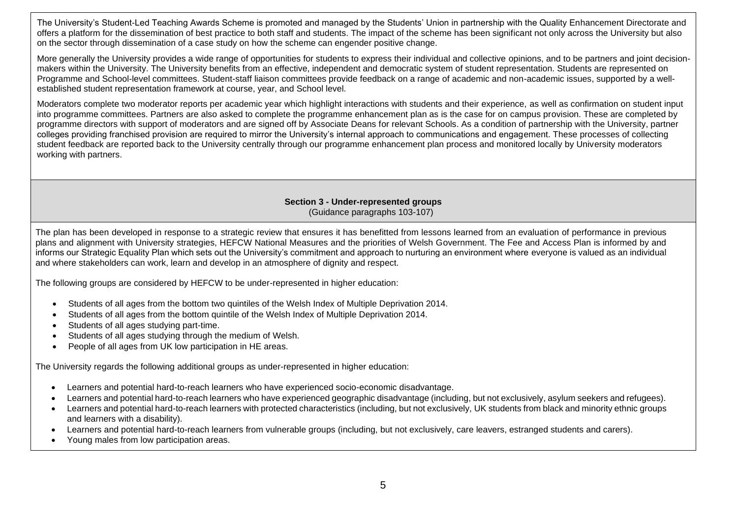The University's Student-Led Teaching Awards Scheme is promoted and managed by the Students' Union in partnership with the Quality Enhancement Directorate and offers a platform for the dissemination of best practice to both staff and students. The impact of the scheme has been significant not only across the University but also on the sector through dissemination of a case study on how the scheme can engender positive change.

More generally the University provides a wide range of opportunities for students to express their individual and collective opinions, and to be partners and joint decisionmakers within the University. The University benefits from an effective, independent and democratic system of student representation. Students are represented on Programme and School-level committees. Student-staff liaison committees provide feedback on a range of academic and non-academic issues, supported by a wellestablished student representation framework at course, year, and School level.

Moderators complete two moderator reports per academic year which highlight interactions with students and their experience, as well as confirmation on student input into programme committees. Partners are also asked to complete the programme enhancement plan as is the case for on campus provision. These are completed by programme directors with support of moderators and are signed off by Associate Deans for relevant Schools. As a condition of partnership with the University, partner colleges providing franchised provision are required to mirror the University's internal approach to communications and engagement. These processes of collecting student feedback are reported back to the University centrally through our programme enhancement plan process and monitored locally by University moderators working with partners.

## **Section 3 - Under-represented groups** (Guidance paragraphs 103-107)

The plan has been developed in response to a strategic review that ensures it has benefitted from lessons learned from an evaluation of performance in previous plans and alignment with University strategies, HEFCW National Measures and the priorities of Welsh Government. The Fee and Access Plan is informed by and informs our Strategic Equality Plan which sets out the University's commitment and approach to nurturing an environment where everyone is valued as an individual and where stakeholders can work, learn and develop in an atmosphere of dignity and respect.

The following groups are considered by HEFCW to be under-represented in higher education:

- Students of all ages from the bottom two quintiles of the Welsh Index of Multiple Deprivation 2014.
- Students of all ages from the bottom quintile of the Welsh Index of Multiple Deprivation 2014.
- Students of all ages studving part-time.
- Students of all ages studying through the medium of Welsh.
- People of all ages from UK low participation in HE areas.

The University regards the following additional groups as under-represented in higher education:

- Learners and potential hard-to-reach learners who have experienced socio-economic disadvantage.
- Learners and potential hard-to-reach learners who have experienced geographic disadvantage (including, but not exclusively, asylum seekers and refugees).
- Learners and potential hard-to-reach learners with protected characteristics (including, but not exclusively, UK students from black and minority ethnic groups and learners with a disability).
- Learners and potential hard-to-reach learners from vulnerable groups (including, but not exclusively, care leavers, estranged students and carers).
- Young males from low participation areas.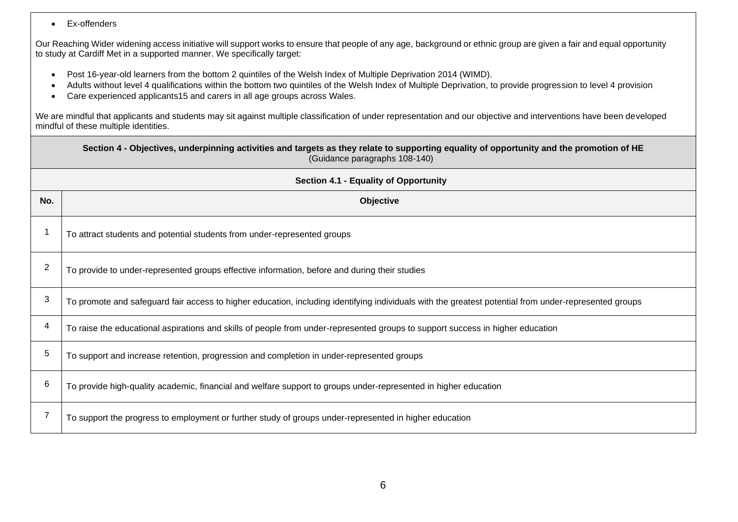• Ex-offenders

Our Reaching Wider widening access initiative will support works to ensure that people of any age, background or ethnic group are given a fair and equal opportunity to study at Cardiff Met in a supported manner. We specifically target:

- Post 16-year-old learners from the bottom 2 quintiles of the Welsh Index of Multiple Deprivation 2014 (WIMD).
- Adults without level 4 qualifications within the bottom two quintiles of the Welsh Index of Multiple Deprivation, to provide progression to level 4 provision
- Care experienced applicants15 and carers in all age groups across Wales.

We are mindful that applicants and students may sit against multiple classification of under representation and our objective and interventions have been developed mindful of these multiple identities.

|                                       | Section 4 - Objectives, underpinning activities and targets as they relate to supporting equality of opportunity and the promotion of HE<br>(Guidance paragraphs 108-140) |  |  |  |
|---------------------------------------|---------------------------------------------------------------------------------------------------------------------------------------------------------------------------|--|--|--|
| Section 4.1 - Equality of Opportunity |                                                                                                                                                                           |  |  |  |
| No.                                   | <b>Objective</b>                                                                                                                                                          |  |  |  |
|                                       | To attract students and potential students from under-represented groups                                                                                                  |  |  |  |
| 2                                     | To provide to under-represented groups effective information, before and during their studies                                                                             |  |  |  |
| 3                                     | To promote and safeguard fair access to higher education, including identifying individuals with the greatest potential from under-represented groups                     |  |  |  |
| 4                                     | To raise the educational aspirations and skills of people from under-represented groups to support success in higher education                                            |  |  |  |
| 5                                     | To support and increase retention, progression and completion in under-represented groups                                                                                 |  |  |  |
| $\,6$                                 | To provide high-quality academic, financial and welfare support to groups under-represented in higher education                                                           |  |  |  |
|                                       | To support the progress to employment or further study of groups under-represented in higher education                                                                    |  |  |  |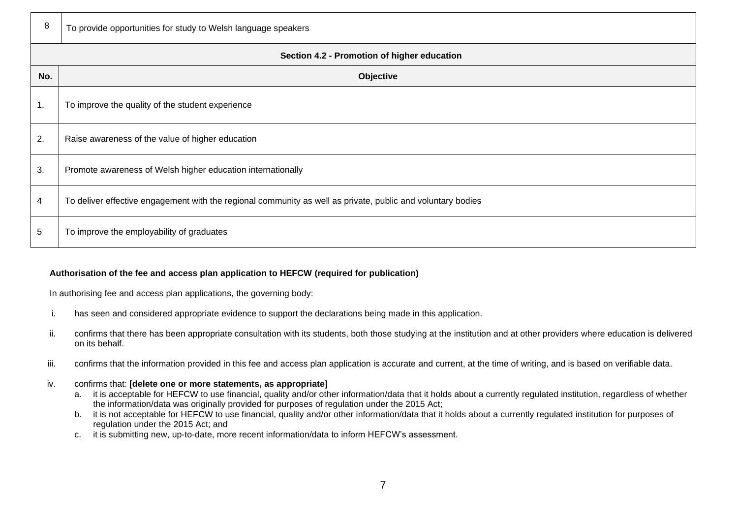| 8                                           | To provide opportunities for study to Welsh language speakers                                               |  |  |  |
|---------------------------------------------|-------------------------------------------------------------------------------------------------------------|--|--|--|
| Section 4.2 - Promotion of higher education |                                                                                                             |  |  |  |
| No.                                         | Objective                                                                                                   |  |  |  |
| 1.                                          | To improve the quality of the student experience                                                            |  |  |  |
| 2.                                          | Raise awareness of the value of higher education                                                            |  |  |  |
| 3.                                          | Promote awareness of Welsh higher education internationally                                                 |  |  |  |
| 4                                           | To deliver effective engagement with the regional community as well as private, public and voluntary bodies |  |  |  |
| $5\phantom{.0}$                             | To improve the employability of graduates                                                                   |  |  |  |

## **Authorisation of the fee and access plan application to HEFCW (required for publication)**

In authorising fee and access plan applications, the governing body:

- i. has seen and considered appropriate evidence to support the declarations being made in this application.
- ii. confirms that there has been appropriate consultation with its students, both those studying at the institution and at other providers where education is delivered on its behalf.
- iii. confirms that the information provided in this fee and access plan application is accurate and current, at the time of writing, and is based on verifiable data.

#### iv. confirms that: **[delete one or more statements, as appropriate]**

- a. it is acceptable for HEFCW to use financial, quality and/or other information/data that it holds about a currently regulated institution, regardless of whether the information/data was originally provided for purposes of regulation under the 2015 Act;
- b. it is not acceptable for HEFCW to use financial, quality and/or other information/data that it holds about a currently regulated institution for purposes of regulation under the 2015 Act; and
- c. it is submitting new, up-to-date, more recent information/data to inform HEFCW's assessment.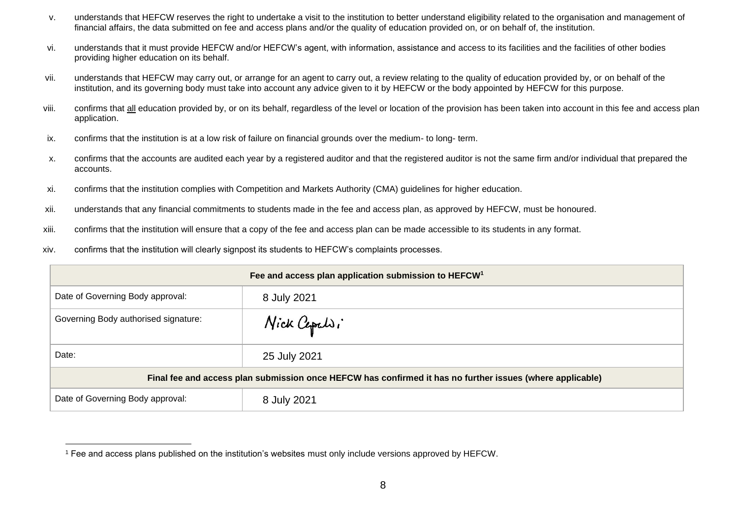- v. understands that HEFCW reserves the right to undertake a visit to the institution to better understand eligibility related to the organisation and management of financial affairs, the data submitted on fee and access plans and/or the quality of education provided on, or on behalf of, the institution.
- vi. understands that it must provide HEFCW and/or HEFCW's agent, with information, assistance and access to its facilities and the facilities of other bodies providing higher education on its behalf.
- vii. understands that HEFCW may carry out, or arrange for an agent to carry out, a review relating to the quality of education provided by, or on behalf of the institution, and its governing body must take into account any advice given to it by HEFCW or the body appointed by HEFCW for this purpose.
- viii. confirms that all education provided by, or on its behalf, regardless of the level or location of the provision has been taken into account in this fee and access plan application.
- ix. confirms that the institution is at a low risk of failure on financial grounds over the medium- to long- term.
- x. confirms that the accounts are audited each year by a registered auditor and that the registered auditor is not the same firm and/or individual that prepared the accounts.
- xi. confirms that the institution complies with Competition and Markets Authority (CMA) guidelines for higher education.
- xii. understands that any financial commitments to students made in the fee and access plan, as approved by HEFCW, must be honoured.
- xiii. confirms that the institution will ensure that a copy of the fee and access plan can be made accessible to its students in any format.
- xiv. confirms that the institution will clearly signpost its students to HEFCW's complaints processes.

| Fee and access plan application submission to HEFCW <sup>1</sup>                                          |              |  |
|-----------------------------------------------------------------------------------------------------------|--------------|--|
| Date of Governing Body approval:                                                                          | 8 July 2021  |  |
| Governing Body authorised signature:                                                                      | Nick Cepelsi |  |
| Date:                                                                                                     | 25 July 2021 |  |
| Final fee and access plan submission once HEFCW has confirmed it has no further issues (where applicable) |              |  |
| Date of Governing Body approval:                                                                          | 8 July 2021  |  |

<sup>1</sup> Fee and access plans published on the institution's websites must only include versions approved by HEFCW.